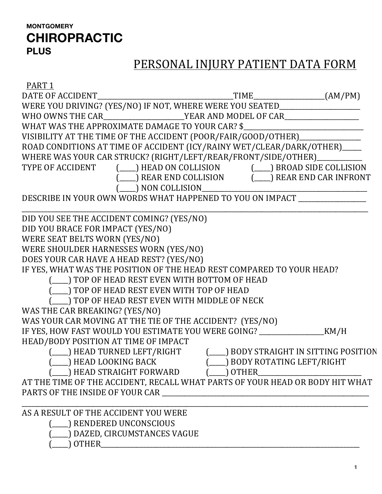## **MONTGOMERY CHIROPRACTIC PLUS**

# PERSONAL INJURY PATIENT DATA FORM

| PART <sub>1</sub>                                                                                                          |                |  |
|----------------------------------------------------------------------------------------------------------------------------|----------------|--|
|                                                                                                                            |                |  |
| WERE YOU DRIVING? (YES/NO) IF NOT, WHERE WERE YOU SEATED________________________                                           |                |  |
| WHO OWNS THE CAR______________________YEAR AND MODEL OF CAR_____________________                                           |                |  |
| WHAT WAS THE APPROXIMATE DAMAGE TO YOUR CAR? \$                                                                            |                |  |
| VISIBILITY AT THE TIME OF THE ACCIDENT (POOR/FAIR/GOOD/OTHER)______________                                                |                |  |
| ROAD CONDITIONS AT TIME OF ACCIDENT (ICY/RAINY WET/CLEAR/DARK/OTHER)____                                                   |                |  |
| WHERE WAS YOUR CAR STRUCK? (RIGHT/LEFT/REAR/FRONT/SIDE/OTHER)_______                                                       |                |  |
| TYPE OF ACCIDENT (___) HEAD ON COLLISION (___) BROAD SIDE COLLISION<br>(___) REAR END COLLISION (___) REAR END CAR INFRONT |                |  |
|                                                                                                                            |                |  |
| $(\_\_)$ NON COLLISION $\_\_$                                                                                              |                |  |
| DESCRIBE IN YOUR OWN WORDS WHAT HAPPENED TO YOU ON IMPACT ______________                                                   |                |  |
| DID YOU SEE THE ACCIDENT COMING? (YES/NO)                                                                                  |                |  |
| DID YOU BRACE FOR IMPACT (YES/NO)                                                                                          |                |  |
| WERE SEAT BELTS WORN (YES/NO)                                                                                              |                |  |
| WERE SHOULDER HARNESSES WORN (YES/NO)                                                                                      |                |  |
| DOES YOUR CAR HAVE A HEAD REST? (YES/NO)                                                                                   |                |  |
| IF YES, WHAT WAS THE POSITION OF THE HEAD REST COMPARED TO YOUR HEAD?                                                      |                |  |
| (___) TOP OF HEAD REST EVEN WITH BOTTOM OF HEAD                                                                            |                |  |
| (___) TOP OF HEAD REST EVEN WITH TOP OF HEAD                                                                               |                |  |
| (___) TOP OF HEAD REST EVEN WITH MIDDLE OF NECK                                                                            |                |  |
| WAS THE CAR BREAKING? (YES/NO)                                                                                             |                |  |
| WAS YOUR CAR MOVING AT THE TIE OF THE ACCIDENT? (YES/NO)                                                                   |                |  |
| IF YES, HOW FAST WOULD YOU ESTIMATE YOU WERE GOING? __________________________KM/H                                         |                |  |
| HEAD/BODY POSITION AT TIME OF IMPACT                                                                                       |                |  |
| (___) HEAD TURNED LEFT/RIGHT (___) BODY STRAIGHT IN SITTING POSITION                                                       |                |  |
| (American) HEAD LOOKING BACK (American) BODY ROTATING LEFT/RIGHT                                                           |                |  |
| ___) HEAD STRAIGHT FORWARD                                                                                                 | $(\_\_)$ OTHER |  |
| AT THE TIME OF THE ACCIDENT, RECALL WHAT PARTS OF YOUR HEAD OR BODY HIT WHAT                                               |                |  |
|                                                                                                                            |                |  |
|                                                                                                                            |                |  |
| AS A RESULT OF THE ACCIDENT YOU WERE                                                                                       |                |  |
| <b>RENDERED UNCONSCIOUS</b>                                                                                                |                |  |
| DAZED, CIRCUMSTANCES VAGUE                                                                                                 |                |  |
|                                                                                                                            |                |  |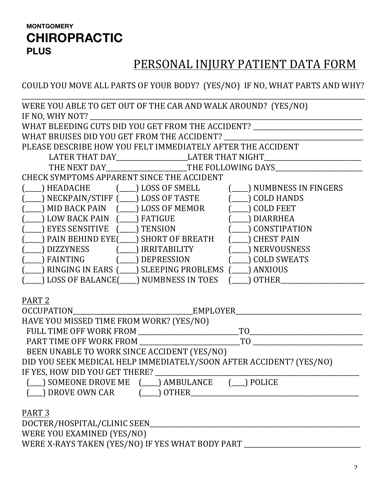#### **MONTGOMERY CHIROPRACTIC PLUS**

## PERSONAL INJURY PATIENT DATA FORM

COULD YOU MOVE ALL PARTS OF YOUR BODY? (YES/NO) IF NO, WHAT PARTS AND WHY?

| WERE YOU ABLE TO GET OUT OF THE CAR AND WALK AROUND? (YES/NO)                                                      |                     |
|--------------------------------------------------------------------------------------------------------------------|---------------------|
| IF NO, WHY NOT?                                                                                                    |                     |
| WHAT BLEEDING CUTS DID YOU GET FROM THE ACCIDENT? ______________________________                                   |                     |
|                                                                                                                    |                     |
| PLEASE DESCRIBE HOW YOU FELT IMMEDIATELY AFTER THE ACCIDENT                                                        |                     |
| LATER THAT DAY_______________________LATER THAT NIGHT___________________________                                   |                     |
| THE NEXT DAY_______________________THE FOLLOWING DAYS____________________________                                  |                     |
| CHECK SYMPTOMS APPARENT SINCE THE ACCIDENT                                                                         |                     |
| (____) HEADACHE (____) LOSS OF SMELL (___) NUMBNESS IN FINGERS                                                     |                     |
|                                                                                                                    | $(\_\_)$ COLD HANDS |
| _) MID BACK PAIN (___) LOSS OF MEMOR (___) COLD FEET                                                               |                     |
| (____) LOW BACK PAIN (____) FATIGUE (___) DIARRHEA                                                                 |                     |
| _) EYES SENSITIVE (____) TENSION                                                                                   | CONSTIPATION        |
| ) PAIN BEHIND EYE(___) SHORT OF BREATH                                                                             | ( CHEST PAIN        |
|                                                                                                                    |                     |
| _) FAINTING     (____) DEPRESSION      (____) COLD SWEATS                                                          |                     |
| _) RINGING IN EARS (___) SLEEPING PROBLEMS (___) ANXIOUS                                                           |                     |
| _) LOSS OF BALANCE(____) NUMBNESS IN TOES (_                                                                       | OTHER               |
|                                                                                                                    |                     |
| PART <sub>2</sub>                                                                                                  |                     |
|                                                                                                                    |                     |
| HAVE YOU MISSED TIME FROM WORK? (YES/NO)                                                                           |                     |
|                                                                                                                    |                     |
|                                                                                                                    |                     |
| BEEN UNABLE TO WORK SINCE ACCIDENT (YES/NO)<br>DID YOU SEEK MEDICAL HELP IMMEDIATELY/SOON AFTER ACCIDENT? (YES/NO) |                     |
|                                                                                                                    |                     |
| IF YES, HOW DID YOU GET THERE?                                                                                     |                     |
| (__) SOMEONE DROVE ME (___) AMBULANCE (__) POLICE                                                                  |                     |
| _) DROVE OWN CAR                                                                                                   |                     |
| PART <sub>3</sub>                                                                                                  |                     |
|                                                                                                                    |                     |
| WERE YOU EXAMINED (YES/NO)                                                                                         |                     |
| WERE X-RAYS TAKEN (YES/NO) IF YES WHAT BODY PART ____                                                              |                     |
|                                                                                                                    |                     |